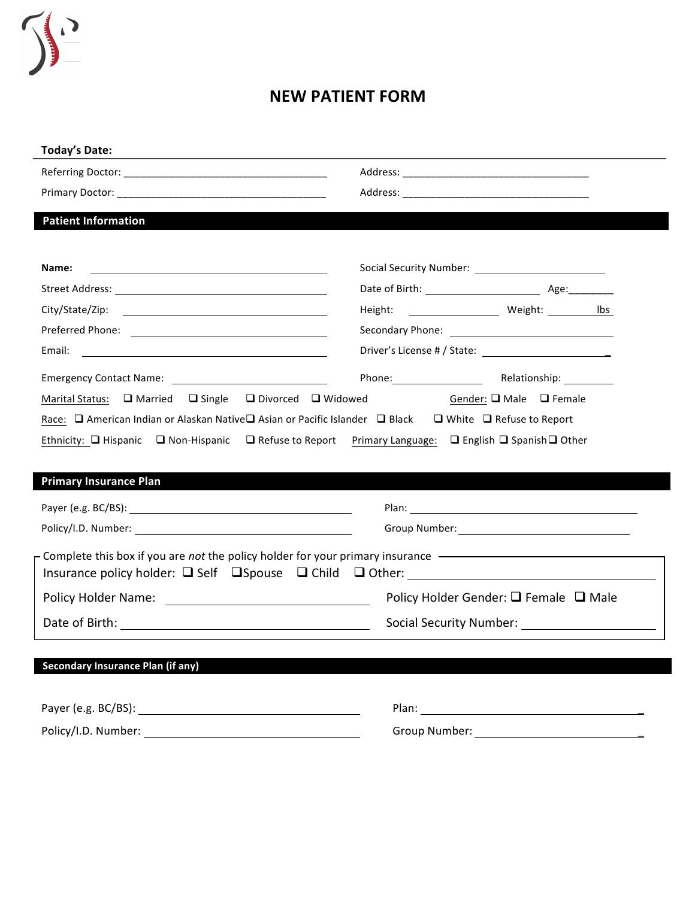

## **NEW PATIENT FORM**

| <b>Today's Date:</b>                                                                                                           |                                                 |  |
|--------------------------------------------------------------------------------------------------------------------------------|-------------------------------------------------|--|
|                                                                                                                                |                                                 |  |
|                                                                                                                                |                                                 |  |
| <b>Patient Information</b>                                                                                                     |                                                 |  |
|                                                                                                                                |                                                 |  |
| Name:<br><u> 1989 - Johann Barbara, martin amerikan basar dan berasal dan berasal dalam basar dalam basar dalam basar dala</u> |                                                 |  |
|                                                                                                                                |                                                 |  |
|                                                                                                                                |                                                 |  |
|                                                                                                                                |                                                 |  |
| Email:                                                                                                                         |                                                 |  |
|                                                                                                                                | Phone: <u>Nelationship:</u>                     |  |
| Marital Status: $\Box$ Married $\Box$ Single $\Box$ Divorced $\Box$ Widowed                                                    | Gender: $\Box$ Male $\Box$ Female               |  |
| Race: □ American Indian or Alaskan Native□ Asian or Pacific Islander □ Black □ White □ Refuse to Report                        |                                                 |  |
|                                                                                                                                |                                                 |  |
|                                                                                                                                |                                                 |  |
| Ethnicity: □ Hispanic □ Non-Hispanic □ Refuse to Report Primary Language: □ English □ Spanish □ Other                          |                                                 |  |
| <b>Primary Insurance Plan</b>                                                                                                  |                                                 |  |
|                                                                                                                                |                                                 |  |
|                                                                                                                                |                                                 |  |
|                                                                                                                                |                                                 |  |
| Complete this box if you are not the policy holder for your primary insurance --------------------------------                 |                                                 |  |
|                                                                                                                                | Policy Holder Gender: $\Box$ Female $\Box$ Male |  |
|                                                                                                                                |                                                 |  |
|                                                                                                                                |                                                 |  |
| <b>Secondary Insurance Plan (if any)</b>                                                                                       |                                                 |  |
|                                                                                                                                |                                                 |  |
|                                                                                                                                |                                                 |  |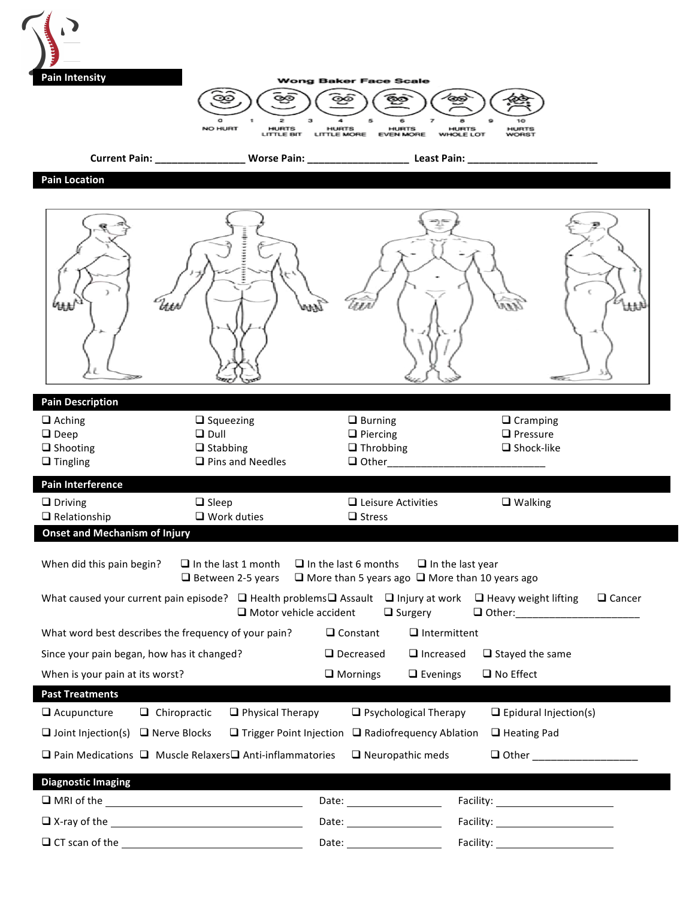| <b>Pain Intensity</b>                                                                                                                                       | NO HURT<br><b>HURTS</b><br><b>HURTS</b><br><b>LITTLE BIT</b><br><b>LITTLE MORE</b>      | <b>Wong Baker Face Scale</b><br><b>HURTS</b><br><b>EVEN MORE</b><br><b>WHOLE LOT</b>                                                   | <b>HURTS</b><br><b>HURTS</b><br><b>WORST</b>            |
|-------------------------------------------------------------------------------------------------------------------------------------------------------------|-----------------------------------------------------------------------------------------|----------------------------------------------------------------------------------------------------------------------------------------|---------------------------------------------------------|
| Current Pain: ________________                                                                                                                              | <b>Worse Pain: __________________</b>                                                   | Least Pain:                                                                                                                            |                                                         |
| <b>Pain Location</b>                                                                                                                                        |                                                                                         |                                                                                                                                        |                                                         |
| 的抹                                                                                                                                                          |                                                                                         |                                                                                                                                        | $\epsilon$<br>iin<br>Ut                                 |
| <b>Pain Description</b>                                                                                                                                     |                                                                                         |                                                                                                                                        |                                                         |
| $\Box$ Aching<br>$\Box$ Deep<br>$\Box$ Shooting<br>$\Box$ Tingling                                                                                          | $\Box$ Squeezing<br>$\Box$ Dull<br>$\Box$ Stabbing<br>$\Box$ Pins and Needles           | $\Box$ Burning<br>$\Box$ Piercing<br>$\Box$ Throbbing<br>$\Box$ Other                                                                  | $\Box$ Cramping<br>$\Box$ Pressure<br>$\Box$ Shock-like |
| Pain Interference                                                                                                                                           |                                                                                         |                                                                                                                                        |                                                         |
| $\Box$ Driving<br>$\Box$ Relationship                                                                                                                       | $\Box$ Sleep<br>$\Box$ Work duties                                                      | $\Box$ Leisure Activities<br>$\square$ Stress                                                                                          | $\Box$ Walking                                          |
| <b>Onset and Mechanism of Injury</b>                                                                                                                        |                                                                                         |                                                                                                                                        |                                                         |
| When did this pain begin?<br>What caused your current pain episode? $\Box$ Health problems $\Box$ Assault $\Box$ Injury at work $\Box$ Heavy weight lifting | $\Box$ In the last 1 month<br>$\Box$ Between 2-5 years<br>$\Box$ Motor vehicle accident | $\Box$ In the last 6 months<br>$\Box$ In the last year<br>$\Box$ More than 5 years ago $\Box$ More than 10 years ago<br>$\Box$ Surgery | $\Box$ Cancer<br>□ Other:_______________________        |
| What word best describes the frequency of your pain?                                                                                                        |                                                                                         | $\Box$ Intermittent<br>$\Box$ Constant                                                                                                 |                                                         |
| Since your pain began, how has it changed?                                                                                                                  |                                                                                         | $\Box$ Decreased<br>$\Box$ Increased                                                                                                   | $\Box$ Stayed the same                                  |
| When is your pain at its worst?                                                                                                                             |                                                                                         | $\Box$ Mornings<br>$\Box$ Evenings                                                                                                     | $\Box$ No Effect                                        |
| <b>Past Treatments</b>                                                                                                                                      |                                                                                         |                                                                                                                                        |                                                         |
| $\Box$ Acupuncture<br>$\Box$ Chiropractic                                                                                                                   | $\Box$ Physical Therapy                                                                 | $\Box$ Psychological Therapy                                                                                                           | $\Box$ Epidural Injection(s)                            |
| $\Box$ Joint Injection(s) $\Box$ Nerve Blocks                                                                                                               | $\Box$ Trigger Point Injection                                                          | $\Box$ Radiofrequency Ablation                                                                                                         | $\Box$ Heating Pad                                      |
| $\Box$ Pain Medications $\Box$ Muscle Relaxers $\Box$ Anti-inflammatories                                                                                   |                                                                                         | $\Box$ Neuropathic meds                                                                                                                | □ Other ____________________                            |
| <b>Diagnostic Imaging</b>                                                                                                                                   |                                                                                         |                                                                                                                                        |                                                         |
|                                                                                                                                                             |                                                                                         |                                                                                                                                        | Facility: ________________________                      |
|                                                                                                                                                             |                                                                                         | Date: _____________________                                                                                                            |                                                         |
|                                                                                                                                                             |                                                                                         |                                                                                                                                        |                                                         |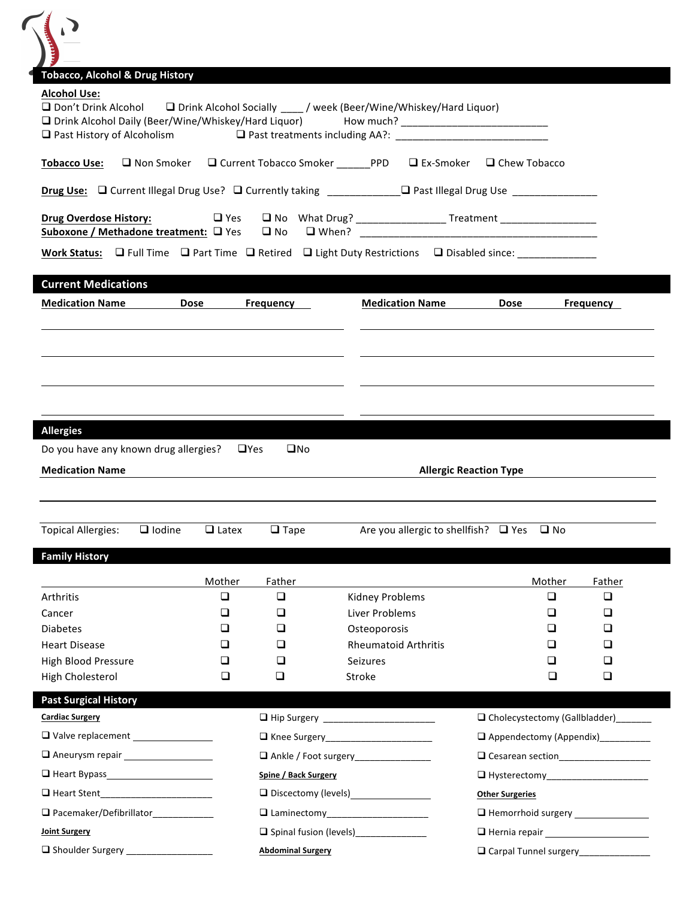$\sqrt{2}$ 

| <b>Alcohol Use:</b><br>$\Box$ Don't Drink Alcohol<br>□ Drink Alcohol Daily (Beer/Wine/Whiskey/Hard Liquor)<br>$\Box$ Past History of Alcoholism |                   |              |                                                                  | □ Drink Alcohol Socially ____ / week (Beer/Wine/Whiskey/Hard Liquor)                                                |                                      |                                        |
|-------------------------------------------------------------------------------------------------------------------------------------------------|-------------------|--------------|------------------------------------------------------------------|---------------------------------------------------------------------------------------------------------------------|--------------------------------------|----------------------------------------|
| <b>Tobacco Use:</b>                                                                                                                             | $\Box$ Non Smoker |              | □ Current Tobacco Smoker ________PPD                             |                                                                                                                     | $\Box$ Ex-Smoker $\Box$ Chew Tobacco |                                        |
|                                                                                                                                                 |                   |              |                                                                  | Drug Use: □ Current Illegal Drug Use? □ Currently taking ___________□ Past Illegal Drug Use _____________           |                                      |                                        |
| <b>Drug Overdose History:</b><br>Suboxone / Methadone treatment: Q Yes                                                                          |                   | $\Box$ Yes   |                                                                  | □ No What Drug? ________________________ Treatment _____________________________                                    |                                      |                                        |
|                                                                                                                                                 |                   |              |                                                                  | Work Status: $\Box$ Full Time $\Box$ Part Time $\Box$ Retired $\Box$ Light Duty Restrictions $\Box$ Disabled since: |                                      |                                        |
| <b>Current Medications</b>                                                                                                                      |                   |              |                                                                  |                                                                                                                     |                                      |                                        |
| <b>Medication Name</b>                                                                                                                          | <b>Dose</b>       |              | <b>Frequency</b>                                                 | <b>Medication Name</b>                                                                                              | <b>Dose</b>                          | Frequency                              |
| <b>Allergies</b>                                                                                                                                |                   |              |                                                                  |                                                                                                                     |                                      |                                        |
| Do you have any known drug allergies?<br><b>Medication Name</b>                                                                                 |                   | $\Box$ Yes   | $\square$ No                                                     |                                                                                                                     | <b>Allergic Reaction Type</b>        |                                        |
|                                                                                                                                                 | $\Box$ Iodine     | $\Box$ Latex | $\Box$ Tape                                                      | Are you allergic to shellfish? $\Box$ Yes $\Box$ No                                                                 |                                      |                                        |
| <b>Topical Allergies:</b><br><b>Family History</b>                                                                                              |                   |              |                                                                  |                                                                                                                     |                                      |                                        |
|                                                                                                                                                 |                   | Mother       | Father                                                           |                                                                                                                     | Mother                               | Father                                 |
| Arthritis                                                                                                                                       |                   | $\Box$       | $\Box$                                                           | Kidney Problems                                                                                                     | $\Box$                               | $\Box$                                 |
| Cancer                                                                                                                                          |                   | □            | □                                                                | Liver Problems                                                                                                      | ❏                                    | ❏                                      |
|                                                                                                                                                 |                   | □            | $\Box$                                                           | Osteoporosis                                                                                                        | ◻                                    | ❏                                      |
|                                                                                                                                                 |                   | □            | ❏                                                                | <b>Rheumatoid Arthritis</b>                                                                                         | ◻                                    | ❏                                      |
|                                                                                                                                                 |                   | ❏<br>❏       | □<br>❏                                                           | <b>Seizures</b>                                                                                                     | ◻<br>□                               | ❏<br>□                                 |
|                                                                                                                                                 |                   |              |                                                                  | Stroke                                                                                                              |                                      |                                        |
| High Cholesterol<br><b>Past Surgical History</b>                                                                                                |                   |              |                                                                  |                                                                                                                     |                                      | □ Cholecystectomy (Gallbladder)______  |
|                                                                                                                                                 |                   |              |                                                                  |                                                                                                                     |                                      |                                        |
| Valve replacement ________________                                                                                                              |                   |              |                                                                  |                                                                                                                     |                                      | Appendectomy (Appendix)_________       |
|                                                                                                                                                 |                   |              | Ankle / Foot surgery_______________                              |                                                                                                                     |                                      | □ Cesarean section____________________ |
| <b>Diabetes</b><br><b>Heart Disease</b><br><b>High Blood Pressure</b><br><b>Cardiac Surgery</b><br>Aneurysm repair __________________           |                   |              | Spine / Back Surgery                                             |                                                                                                                     |                                      |                                        |
|                                                                                                                                                 |                   |              |                                                                  |                                                                                                                     | <b>Other Surgeries</b>               |                                        |
| D Pacemaker/Defibrillator___________                                                                                                            |                   |              |                                                                  |                                                                                                                     |                                      | Hemorrhoid surgery _______________     |
| <b>Joint Surgery</b><br>Shoulder Surgery __________________                                                                                     |                   |              | Spinal fusion (levels) _____________<br><b>Abdominal Surgery</b> |                                                                                                                     |                                      | Carpal Tunnel surgery_______________   |